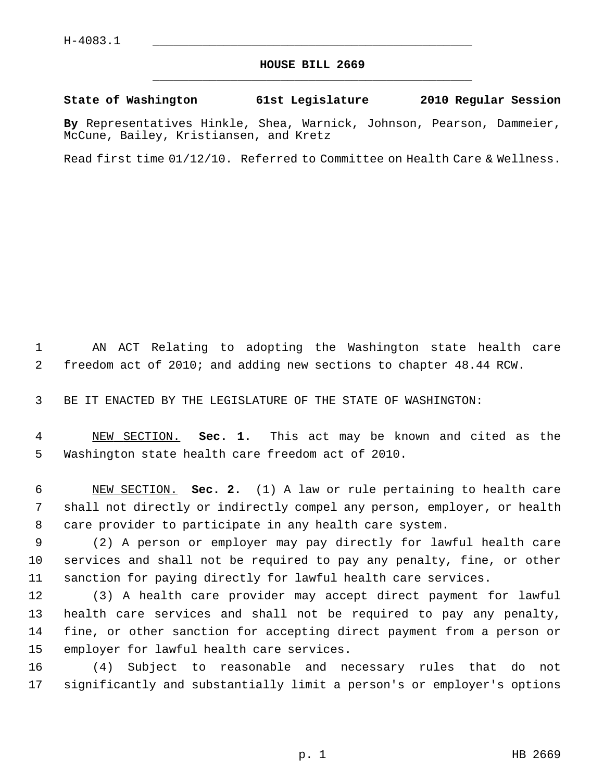## **HOUSE BILL 2669** \_\_\_\_\_\_\_\_\_\_\_\_\_\_\_\_\_\_\_\_\_\_\_\_\_\_\_\_\_\_\_\_\_\_\_\_\_\_\_\_\_\_\_\_\_

## **State of Washington 61st Legislature 2010 Regular Session**

**By** Representatives Hinkle, Shea, Warnick, Johnson, Pearson, Dammeier, McCune, Bailey, Kristiansen, and Kretz

Read first time 01/12/10. Referred to Committee on Health Care & Wellness.

 1 AN ACT Relating to adopting the Washington state health care 2 freedom act of 2010; and adding new sections to chapter 48.44 RCW.

3 BE IT ENACTED BY THE LEGISLATURE OF THE STATE OF WASHINGTON:

 4 NEW SECTION. **Sec. 1.** This act may be known and cited as the 5 Washington state health care freedom act of 2010.

 6 NEW SECTION. **Sec. 2.** (1) A law or rule pertaining to health care 7 shall not directly or indirectly compel any person, employer, or health 8 care provider to participate in any health care system.

 9 (2) A person or employer may pay directly for lawful health care 10 services and shall not be required to pay any penalty, fine, or other 11 sanction for paying directly for lawful health care services.

12 (3) A health care provider may accept direct payment for lawful 13 health care services and shall not be required to pay any penalty, 14 fine, or other sanction for accepting direct payment from a person or 15 employer for lawful health care services.

16 (4) Subject to reasonable and necessary rules that do not 17 significantly and substantially limit a person's or employer's options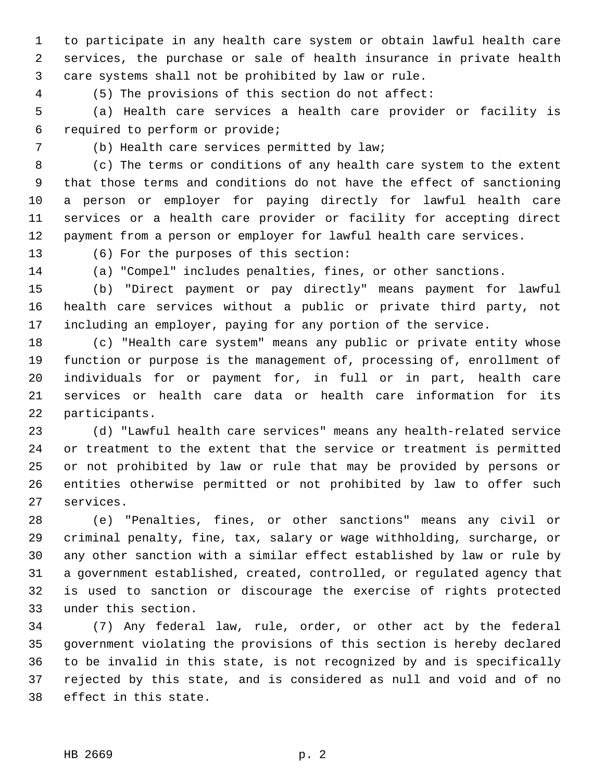1 to participate in any health care system or obtain lawful health care 2 services, the purchase or sale of health insurance in private health 3 care systems shall not be prohibited by law or rule.

4 (5) The provisions of this section do not affect:

 5 (a) Health care services a health care provider or facility is 6 required to perform or provide;

7 (b) Health care services permitted by law;

 8 (c) The terms or conditions of any health care system to the extent 9 that those terms and conditions do not have the effect of sanctioning 10 a person or employer for paying directly for lawful health care 11 services or a health care provider or facility for accepting direct 12 payment from a person or employer for lawful health care services.

13 (6) For the purposes of this section:

14 (a) "Compel" includes penalties, fines, or other sanctions.

15 (b) "Direct payment or pay directly" means payment for lawful 16 health care services without a public or private third party, not 17 including an employer, paying for any portion of the service.

18 (c) "Health care system" means any public or private entity whose 19 function or purpose is the management of, processing of, enrollment of 20 individuals for or payment for, in full or in part, health care 21 services or health care data or health care information for its 22 participants.

23 (d) "Lawful health care services" means any health-related service 24 or treatment to the extent that the service or treatment is permitted 25 or not prohibited by law or rule that may be provided by persons or 26 entities otherwise permitted or not prohibited by law to offer such 27 services.

28 (e) "Penalties, fines, or other sanctions" means any civil or 29 criminal penalty, fine, tax, salary or wage withholding, surcharge, or 30 any other sanction with a similar effect established by law or rule by 31 a government established, created, controlled, or regulated agency that 32 is used to sanction or discourage the exercise of rights protected 33 under this section.

34 (7) Any federal law, rule, order, or other act by the federal 35 government violating the provisions of this section is hereby declared 36 to be invalid in this state, is not recognized by and is specifically 37 rejected by this state, and is considered as null and void and of no 38 effect in this state.